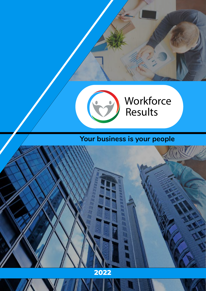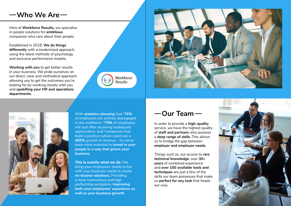In order to provide a **high-quality**  service, we have the highest quality of **staff and partners** who possess a **deep range of skills.** This allows us to bridge the gap between **employer and employee needs**.

Things such as, our access to **rare technical knowledge**, over **30+ years** of combined experience and **over 100 available tools and techniques** are just a few of the skills our team possesses that make us **perfect for any task** that heads our way.



# $-W$ ho We Are

Here at **Workforce Results,** we specialise in people solutions for **ambitious**  companies who care about their people.

Established in 2018. **We do things differently** with a modernized approach, using the latest methods of psychology and exclusive performance models.

**Working with you** to get better results in your business. We pride ourselves on our direct, clear and methodical approach allowing you to get the outcomes you're looking for by working closely with you and **upskilling your HR and operations departments**.

> With **statistics showing** that 1**74%** of employees are actively disengaged in the workforce, **279%** of employees will quit after receiving inadequate appreciation, and 3companies that build a positive culture could see a **400%** growth in revenue – it's never been more essential to **invest in your people in a way that grows your business.**

> **This is exactly what we do.** We bring your employees' needs in line with your business needs to create **no-brainer solutions.** Providing a more harmonious and high performing workplace, **improving both your employees' experience as well as your business growth.**

## $-$ Our Team $-$





![](_page_1_Picture_6.jpeg)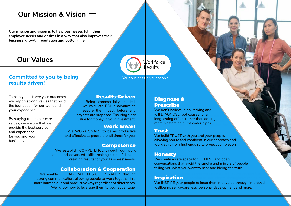#### **• Honesty Honesty**

### **our work.**  Trust

**First and Tries Plantify you are your people,**<br>allowing you to feel confident in our approach and **• Trust • Motivation** We build TRUST with you and your people, work ethic from first enquiry to project completion.

We create a safe space for HONEST and open **• Cooperation** conversations that avoid the smoke and mirrors of people telling you what you want to hear and hiding the truth.

#### **best experiment of the service to our clients throughout the service to our clients throughout the series of th**

We INSPIRE your people to keep them motivated through improved wellbeing, self-awareness, personal development and more.

We enable COLLABORATION & COOPERATION through strong communication, allowing people to work together in a more harmonious and productive way regardless of differences. We know how to leverage them to your advantage.

#### Work Smart

We WORK SMART to be as productive and effective as possible at all times for you.

#### Competence

We establish COMPETENCE through our work ethic and advanced skills, making us confident at creating results for your business' needs.

**WHI DIAGNOSE TOOT CAUSES TOT AND RESULTS** long lasting effect, rather than adding more plasters on burst water pipes. We don't believe in box ticking and will DIAGNOSE root causes for a

#### Collaboration & Cooperation

**Workforce** Results

### **Committed to you by being results driven!**

To help you achieve your outcomes, we rely on **strong values** that build the foundation for our work and **your experience**.

By staying true to our core values, we ensure that we provide the **best service and experience** for you and your business**.**

**Our mission and vision is to help businesses fulfil their employee needs and desires in a way that also improves their business' growth, reputation and bottom line.** 

 $-$  Our Values  $-$ 

# **Our Mission & Vision**

### Results-Driven

Being commercially minded, we calculate ROI in advance to measure the impact before any projects are proposed. Ensuring clear value for money in your investment.

### Diagnose & Prescribe

Your business is your people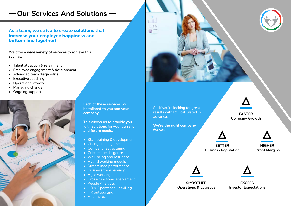**As a team, we strive to create solutions that increase your employee happiness and bottom line together!**

We offer a **wide variety of services** to achieve this such as:

- Staff training & development
- Change management
- Company restructuring
- Culture due dilligence
- Well-being and resilience
- Hybrid working models
- Streamlined performance
- Business transparency
- Agile working
- Cross-functional enablement
- People Analytics
- HR & Operations upskilling
- HR outsourcing
- And more...

![](_page_3_Picture_27.jpeg)

- Talent attraction & retainment
- Employee engagement & development
- Advanced team diagnostics
- Executive coaching
- Operational review
- Managing change
- Ongoing support

![](_page_3_Picture_10.jpeg)

**Each of these services will be tailored to you and your company.**

This allows us **to provide** you with **solutions** for **your current and future needs.**

#### **FASTER Company Growth**

![](_page_3_Picture_36.jpeg)

![](_page_3_Picture_37.jpeg)

![](_page_3_Picture_38.jpeg)

#### **SMOOTHER Operations & Logistics**

![](_page_3_Picture_33.jpeg)

![](_page_3_Picture_34.jpeg)

# **Our Services And Solutions**

So, If you're looking for great results with ROI calculated in advance...

**We're the right company for you!** 

![](_page_3_Picture_31.jpeg)

**EXCEED Investor Expectations**